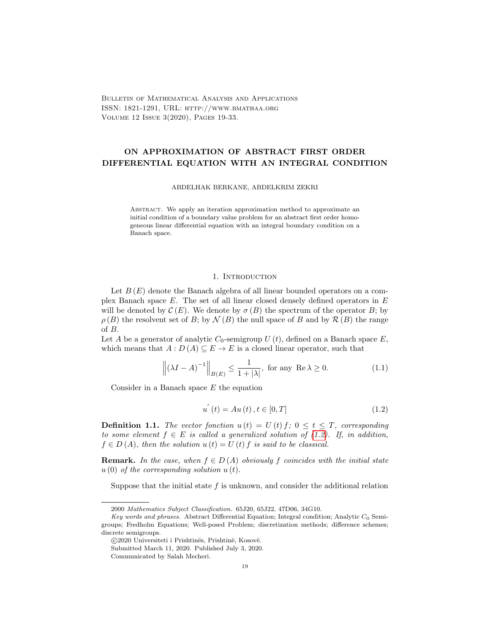Bulletin of Mathematical Analysis and Applications ISSN: 1821-1291, URL: http://www.bmathaa.org Volume 12 Issue 3(2020), Pages 19-33.

# ON APPROXIMATION OF ABSTRACT FIRST ORDER DIFFERENTIAL EQUATION WITH AN INTEGRAL CONDITION

ABDELHAK BERKANE, ABDELKRIM ZEKRI

Abstract. We apply an iteration approximation method to approximate an initial condition of a boundary value problem for an abstract first order homogeneous linear differential equation with an integral boundary condition on a Banach space.

## 1. INTRODUCTION

Let  $B(E)$  denote the Banach algebra of all linear bounded operators on a complex Banach space  $E$ . The set of all linear closed densely defined operators in  $E$ will be denoted by  $\mathcal{C}(E)$ . We denote by  $\sigma(B)$  the spectrum of the operator B; by  $\rho(B)$  the resolvent set of B; by  $\mathcal{N}(B)$  the null space of B and by  $\mathcal{R}(B)$  the range of B.

Let A be a generator of analytic  $C_0$ -semigroup  $U(t)$ , defined on a Banach space  $E$ , which means that  $A: D(A) \subseteq E \to E$  is a closed linear operator, such that

<span id="page-0-1"></span>
$$
\left\| (\lambda I - A)^{-1} \right\|_{B(E)} \le \frac{1}{1 + |\lambda|}, \text{ for any } \operatorname{Re} \lambda \ge 0. \tag{1.1}
$$

Consider in a Banach space  $E$  the equation

<span id="page-0-0"></span>
$$
u^{'}(t) = Au(t), t \in [0, T]
$$
\n(1.2)

**Definition 1.1.** The vector fonction  $u(t) = U(t) f$ ;  $0 \le t \le T$ , corresponding to some element  $f \in E$  is called a generalized solution of [\(1.2\)](#page-0-0). If, in addition,  $f \in D(A)$ , then the solution  $u(t) = U(t) f$  is said to be classical.

**Remark.** In the case, when  $f \in D(A)$  obviously f coincides with the initial state  $u(0)$  of the corresponding solution  $u(t)$ .

Suppose that the initial state  $f$  is unknown, and consider the additional relation

<sup>2000</sup> Mathematics Subject Classification. 65J20, 65J22, 47D06, 34G10.

Key words and phrases. Abstract Differential Equation; Integral condition; Analytic  $C_0$  Semigroups; Fredholm Equations; Well-posed Problem; discretization methods; difference schemes; discrete semigroups.

<sup>© 2020</sup> Universiteti i Prishtinës, Prishtinë, Kosovë.

Submitted March 11, 2020. Published July 3, 2020.

Communicated by Salah Mecheri.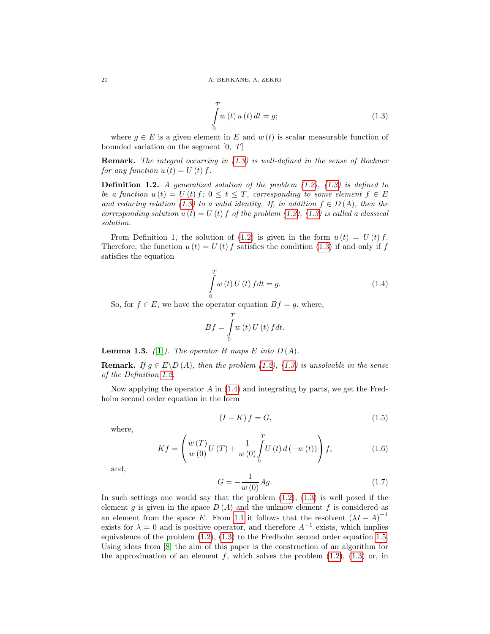<span id="page-1-0"></span>
$$
\int_{0}^{T} w(t) u(t) dt = g;
$$
\n(1.3)

where  $q \in E$  is a given element in E and  $w(t)$  is scalar measurable function of bounded variation on the segment  $[0, T]$ 

Remark. The integral occurring in [\(1.3\)](#page-1-0) is well-defined in the sense of Bochner for any function  $u(t) = U(t) f$ .

<span id="page-1-1"></span>**Definition 1.2.** A generalized solution of the problem  $(1.2)$ ,  $(1.3)$  is defined to be a function  $u(t) = U(t) f; 0 \le t \le T$ , corresponding to some element  $f \in E$ and reducing relation [\(1.3\)](#page-1-0) to a valid identity. If, in addition  $f \in D(A)$ , then the corresponding solution  $u(t) = U(t)$  f of the problem [\(1.2\)](#page-0-0), [\(1.3\)](#page-1-0) is called a classical solution.

From Definition 1, the solution of [\(1.2\)](#page-0-0) is given in the form  $u(t) = U(t) f$ . Therefore, the function  $u(t) = U(t) f$  satisfies the condition [\(1.3\)](#page-1-0) if and only if f satisfies the equation

<span id="page-1-2"></span>
$$
\int_{0}^{T} w(t) U(t) f dt = g.
$$
\n(1.4)

So, for  $f \in E$ , we have the operator equation  $Bf = g$ , where,

$$
Bf = \int_{0}^{T} w(t) U(t) f dt.
$$

**Lemma 1.3.** ([\[1\]](#page-14-0)). The operator B maps E into  $D(A)$ .

**Remark.** If  $g \in E \backslash D(A)$ , then the problem [\(1.2\)](#page-0-0), [\(1.3\)](#page-1-0) is unsolvable in the sense of the Definition [1.2.](#page-1-1)

Now applying the operator  $A$  in [\(1.4\)](#page-1-2) and integrating by parts, we get the Fredholm second order equation in the form

<span id="page-1-3"></span>
$$
(I - K) f = G,\t\t(1.5)
$$

where,

<span id="page-1-4"></span>
$$
Kf = \left(\frac{w(T)}{w(0)}U(T) + \frac{1}{w(0)}\int_{0}^{T} U(t) d(-w(t))\right)f,
$$
\n(1.6)

and,

$$
G = -\frac{1}{w(0)}Ag.
$$
\n(1.7)

In such settings one would say that the problem  $(1.2)$ ,  $(1.3)$  is well posed if the element g is given in the space  $D(A)$  and the unknow element f is considered as an element from the space E. From [1.1](#page-0-1) it follows that the resolvent  $(\lambda I - A)^{-1}$ exists for  $\lambda = 0$  and is positive operator, and therefore  $A^{-1}$  exists, which implies equivalence of the problem [\(1.2\)](#page-0-0), [\(1.3\)](#page-1-0) to the Fredholm second order equation [1.5.](#page-1-3) Using ideas from [\[8\]](#page-14-1) the aim of this paper is the construction of an algorithm for the approximation of an element  $f$ , which solves the problem  $(1.2)$ ,  $(1.3)$  or, in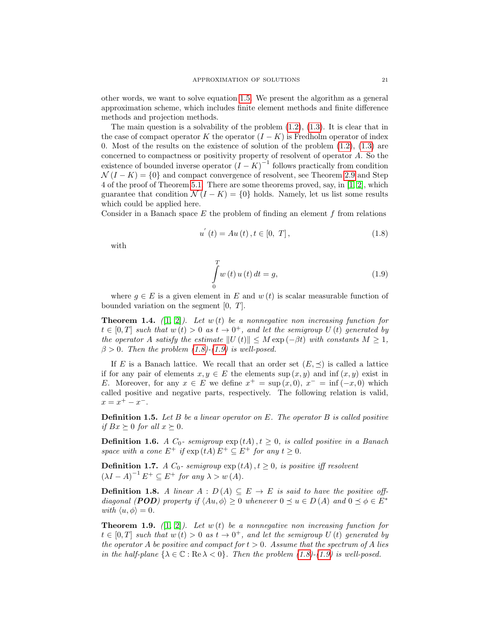other words, we want to solve equation [1.5.](#page-1-3) We present the algorithm as a general approximation scheme, which includes finite element methods and finite difference methods and projection methods.

The main question is a solvability of the problem  $(1.2)$ ,  $(1.3)$ . It is clear that in the case of compact operator K the operator  $(I - K)$  is Fredholm operator of index 0. Most of the results on the existence of solution of the problem  $(1.2)$ ,  $(1.3)$  are concerned to compactness or positivity property of resolvent of operator A. So the existence of bounded inverse operator  $(I - K)^{-1}$  follows practically from condition  $\mathcal{N}(I - K) = \{0\}$  and compact convergence of resolvent, see Theorem [2.9](#page-4-0) and Step 4 of the proof of Theorem [5.1.](#page-8-0) There are some theorems proved, say, in [\[1,](#page-14-0) [2\]](#page-14-2), which guarantee that condition  $\mathcal{N}(I - K) = \{0\}$  holds. Namely, let us list some results which could be applied here.

Consider in a Banach space  $E$  the problem of finding an element  $f$  from relations

<span id="page-2-0"></span>
$$
u^{'}(t) = Au(t), t \in [0, T],
$$
\n(1.8)

with

<span id="page-2-1"></span>
$$
\int_{0}^{T} w(t) u(t) dt = g,
$$
\n(1.9)

where  $q \in E$  is a given element in E and  $w(t)$  is scalar measurable function of bounded variation on the segment [0, T].

**Theorem 1.4.** ([\[1,](#page-14-0) [2\]](#page-14-2)). Let  $w(t)$  be a nonnegative non increasing function for  $t \in [0,T]$  such that  $w(t) > 0$  as  $t \to 0^+$ , and let the semigroup U(t) generated by the operator A satisfy the estimate  $||U(t)|| \leq M \exp(-\beta t)$  with constants  $M \geq 1$ ,  $\beta > 0$ . Then the problem [\(1.8\)](#page-2-0)-[\(1.9\)](#page-2-1) is well-posed.

If E is a Banach lattice. We recall that an order set  $(E, \preceq)$  is called a lattice if for any pair of elements  $x, y \in E$  the elements sup  $(x, y)$  and inf  $(x, y)$  exist in E. Moreover, for any  $x \in E$  we define  $x^+ = \sup(x, 0), x^- = \inf(-x, 0)$  which called positive and negative parts, respectively. The following relation is valid,  $x = x^+ - x^-$ .

**Definition 1.5.** Let B be a linear operator on E. The operator B is called positive if  $Bx \succeq 0$  for all  $x \succeq 0$ .

**Definition 1.6.** A  $C_0$ - semigroup  $exp(tA)$ ,  $t \geq 0$ , is called positive in a Banach space with a cone  $E^+$  if  $\exp(tA) E^+ \subseteq E^+$  for any  $t \geq 0$ .

**Definition 1.7.** A  $C_0$ - semigroup  $\exp(tA)$ ,  $t \geq 0$ , is positive iff resolvent  $(\lambda I - A)^{-1} E^+ \subseteq E^+$  for any  $\lambda > w(A)$ .

**Definition 1.8.** A linear  $A : D(A) \subseteq E \rightarrow E$  is said to have the positive offdiagonal (**POD**) property if  $\langle Au, \phi \rangle \ge 0$  whenever  $0 \preceq u \in D(A)$  and  $0 \preceq \phi \in E^*$ with  $\langle u, \phi \rangle = 0$ .

**Theorem 1.9.** ([\[1,](#page-14-0) [2\]](#page-14-2)). Let  $w(t)$  be a nonnegative non increasing function for  $t \in [0,T]$  such that  $w(t) > 0$  as  $t \to 0^+$ , and let the semigroup U(t) generated by the operator A be positive and compact for  $t > 0$ . Assume that the spectrum of A lies in the half-plane  $\{\lambda \in \mathbb{C} : \text{Re }\lambda < 0\}$ . Then the problem  $(1.8)-(1.9)$  $(1.8)-(1.9)$  $(1.8)-(1.9)$  is well-posed.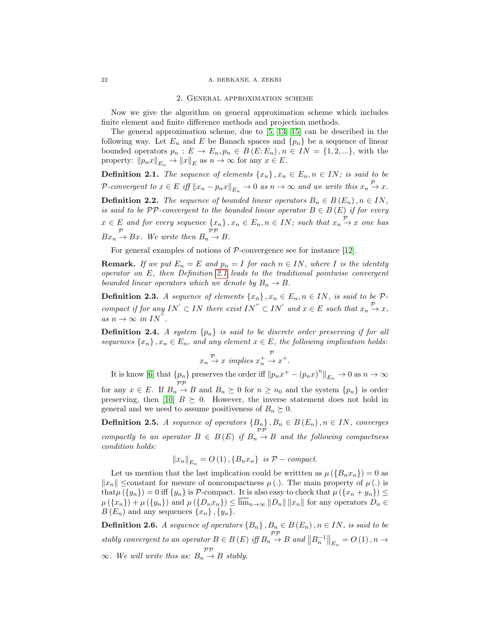#### 22 A. BERKANE, A. ZEKRI

#### 2. General approximation scheme

Now we give the algorithm on general approximation scheme which includes finite element and finite difference methods and projection methods.

The general approximation scheme, due to [\[5,](#page-14-3) [13,](#page-14-4) [15\]](#page-14-5) can be described in the following way. Let  $E_n$  and E be Banach spaces and  $\{p_n\}$  be a sequence of linear bounded operators  $p_n : E \to E_n$ ,  $p_n \in B(E; E_n)$ ,  $n \in IN = \{1, 2, ...\}$ , with the property:  $||p_n x||_{E_n} \to ||x||_E$  as  $n \to \infty$  for any  $x \in E$ .

<span id="page-3-0"></span>**Definition 2.1.** The sequence of elements  $\{x_n\}$ ,  $x_n \in E_n$ ,  $n \in IN$ ; is said to be P-convergent to  $x \in E$  iff  $||x_n - p_n x||_{E_n} \to 0$  as  $n \to \infty$  and we write this  $x_n \overset{\mathcal{P}}{\to} x$ . **Definition 2.2.** The sequence of bounded linear operators  $B_n \in B(E_n)$ ,  $n \in IN$ , is said to be  $\mathcal{PP}$ -convergent to the bounded linear operator  $B \in B(E)$  if for every  $x \in E$  and for every sequence  $\{x_n\}$ ,  $x_n \in E_n$ ,  $n \in IN$ ; such that  $x_n \stackrel{\mathcal{P}}{\rightarrow} x$  one has  $Bx_n \rightarrow Bx$ . We write then  $B_n \rightarrow B$ .

For general examples of notions of  $P$ -convergence see for instance [\[12\]](#page-14-6).

**Remark.** If we put  $E_n = E$  and  $p_n = I$  for each  $n \in IN$ , where I is the identity operator on E, then Definition [2.1](#page-3-0) leads to the traditional pointwise convergent bounded linear operators which we denote by  $B_n \to B$ .

**Definition 2.3.** A sequence of elements  $\{x_n\}$ ,  $x_n \in E_n$ ,  $n \in IN$ , is said to be  $\mathcal{P}$ compact if for any  $IN' \subset IN$  there exist  $IN'' \subset IN'$  and  $x \in E$  such that  $x_n \stackrel{\mathcal{P}}{\rightarrow} x$ , as  $n \to \infty$  in  $IN^{''}$ .

**Definition 2.4.** A system  $\{p_n\}$  is said to be discrete order preserving if for all sequences  $\{x_n\}$ ,  $x_n \in E_n$ , and any element  $x \in E$ , the following implication holds:

$$
x_n \stackrel{\mathcal{P}}{\rightarrow} x \implies x^+ \stackrel{\mathcal{P}}{\rightarrow} x^+
$$
.

It is know [\[6\]](#page-14-7) that  $\{p_n\}$  preserves the order iff  $||p_nx^+ - (p_nx)^n||_{E_n} \to 0$  as  $n \to \infty$ 

for any  $x \in E$ . If  $B_n \to B$  and  $B_n \succeq 0$  for  $n \geq n_0$  and the system  $\{p_n\}$  is order preserving, then [\[10\]](#page-14-8)  $B \succeq 0$ . However, the inverse statement does not hold in general and we need to assume positiveness of  $B_n \succeq 0$ .

**Definition 2.5.** A sequence of operators  ${B_n}$ ,  ${B_n} \in B(E_n)$ ,  $n \in IN$ , converges compactly to an operator  $B \in B(E)$  if  $B_n \to B$  and the following compactness condition holds:

$$
||x_n||_{E_n} = O(1), \{B_n x_n\} \text{ is } \mathcal{P}-compact.
$$

Let us mention that the last implication could be written as  $\mu({B_nx_n}) = 0$  as  $||x_n||$  ≤constant for mesure of noncompactness  $\mu$  (.). The main property of  $\mu$  (.) is that  $\mu(\{y_n\}) = 0$  iff  $\{y_n\}$  is P-compact. It is also easy to check that  $\mu(\{x_n + y_n\}) \le$  $\mu(\lbrace x_n \rbrace) + \mu(\lbrace y_n \rbrace)$  and  $\mu(\lbrace D_n x_n \rbrace) \leq \overline{\lim}_{n \to \infty} ||D_n|| ||x_n||$  for any operators  $D_n \in$  $B(E_n)$  and any sequences  $\{x_n\}, \{y_n\}.$ 

**Definition 2.6.** A sequence of operators  ${B_n}$ ,  ${B_n \in B (E_n)}$ ,  $n \in IN$ , is said to be stably convergent to an operator  $B \in B(E)$  iff  $B_n \to B$  and  $||B_n^{-1}||_{E_n} = O(1), n \to$  $\infty$ . We will write this as:  $B_n \stackrel{\mathcal{PP}}{\rightarrow} B$  stably.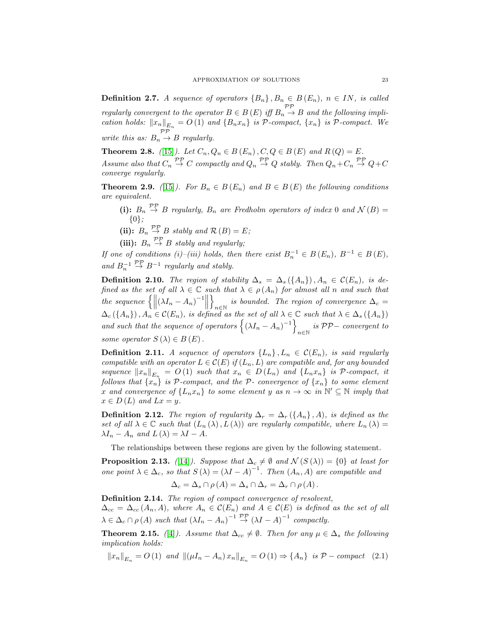**Definition 2.7.** A sequence of operators  ${B_n}$ ,  ${B_n} \in B(E_n)$ ,  $n \in IN$ , is called regularly convergent to the operator  $B \in B(E)$  iff  $B_n \stackrel{\mathcal{PP}}{\rightarrow} B$  and the following implication holds:  $||x_n||_{E_n} = O(1)$  and  $\{B_n x_n\}$  is P-compact,  $\{x_n\}$  is P-compact. We write this as:  $B_n \stackrel{\mathcal{PP}}{\rightarrow} B$  regularly.

<span id="page-4-2"></span>**Theorem 2.8.** ([\[15\]](#page-14-5)). Let  $C_n, Q_n \in B(E_n)$ ,  $C, Q \in B(E)$  and  $R(Q) = E$ . Assume also that  $C_n \stackrel{\mathcal{PP}}{\rightarrow} C$  compactly and  $Q_n \stackrel{\mathcal{PP}}{\rightarrow} Q$  stably. Then  $Q_n + C_n \stackrel{\mathcal{PP}}{\rightarrow} Q + C$ converge regularly.

<span id="page-4-0"></span>**Theorem 2.9.** ([\[15\]](#page-14-5)). For  $B_n \in B(E_n)$  and  $B \in B(E)$  the following conditions are equivalent.

(i):  $B_n \stackrel{\mathcal{PP}}{\rightarrow} B$  regularly,  $B_n$  are Fredholm operators of index 0 and  $\mathcal{N}(B) =$ {0};

(ii):  $B_n \overset{\mathcal{PP}}{\rightarrow} B$  stably and  $\mathcal{R}(B) = E$ ;

(iii):  $B_n \overset{\mathcal{PP}}{\rightarrow} B$  stably and regularly;

If one of conditions (i)–(iii) holds, then there exist  $B_n^{-1} \in B(E_n)$ ,  $B^{-1} \in B(E)$ , and  $B_n^{-1}$  $\stackrel{\mathcal{PP}}{\rightarrow} B^{-1}$  regularly and stably.

**Definition 2.10.** The region of stability  $\Delta_s = \Delta_s(\{A_n\})$ ,  $A_n \in \mathcal{C}(E_n)$ , is defined as the set of all  $\lambda \in \mathbb{C}$  such that  $\lambda \in \rho(A_n)$  for almost all n and such that the sequence  $\left\{ \left\| (\lambda I_n - A_n)^{-1} \right\|$ o is bounded. The region of convergence  $\Delta_c = n \epsilon$  $\Delta_c(\lbrace A_n \rbrace), A_n \in \mathcal{C}(E_n)$ , is defined as the set of all  $\lambda \in \mathbb{C}$  such that  $\lambda \in \Delta_s(\lbrace A_n \rbrace)$ and such that the sequence of operators  $\left\{ (\lambda I_n - A_n)^{-1} \right\}$  $\sum_{n \in \mathbb{N}}$  is PP− convergent to some operator  $S(\lambda) \in B(E)$ .

**Definition 2.11.** A sequence of operators  $\{L_n\}$ ,  $L_n \in \mathcal{C}(E_n)$ , is said regularly compatible with an operator  $L \in \mathcal{C}(E)$  if  $(L_n, L)$  are compatible and, for any bounded sequence  $||x_n||_{E_n} = O(1)$  such that  $x_n \in D(L_n)$  and  $\{L_n x_n\}$  is  $P$ -compact, it follows that  $\{x_n\}$  is P-compact, and the P- convergence of  $\{x_n\}$  to some element x and convergence of  $\{L_n x_n\}$  to some element y as  $n \to \infty$  in  $\mathbb{N}' \subseteq \mathbb{N}$  imply that  $x \in D(L)$  and  $Lx = y$ .

**Definition 2.12.** The region of regularity  $\Delta_r = \Delta_r \left( \{A_n\}, A \right)$ , is defined as the set of all  $\lambda \in \mathbb{C}$  such that  $(L_n(\lambda), L(\lambda))$  are regularly compatible, where  $L_n(\lambda) =$  $\lambda I_n - A_n$  and  $L(\lambda) = \lambda I - A$ .

The relationships between these regions are given by the following statement.

**Proposition 2.13.** ([\[14\]](#page-14-9)). Suppose that  $\Delta_c \neq \emptyset$  and  $\mathcal{N}(S(\lambda)) = \{0\}$  at least for one point  $\lambda \in \Delta_c$ , so that  $S(\lambda) = (\lambda I - A)^{-1}$ . Then  $(A_n, A)$  are compatible and

$$
\Delta_c = \Delta_s \cap \rho(A) = \Delta_s \cap \Delta_r = \Delta_r \cap \rho(A).
$$

Definition 2.14. The region of compact convergence of resolvent,  $\Delta_{cc} = \Delta_{cc} (A_n, A)$ , where  $A_n \in \mathcal{C}(E_n)$  and  $A \in \mathcal{C}(E)$  is defined as the set of all  $\lambda \in \Delta_c \cap \rho(A)$  such that  $(\lambda I_n - A_n)^{-1} \stackrel{\mathcal{PP}}{\rightarrow} (\lambda I - A)^{-1}$  compactly.

**Theorem 2.15.** ([\[4\]](#page-14-10)). Assume that  $\Delta_{cc} \neq \emptyset$ . Then for any  $\mu \in \Delta_s$  the following implication holds:

<span id="page-4-1"></span>
$$
||x_n||_{E_n} = O(1) \quad \text{and} \quad ||(\mu I_n - A_n)x_n||_{E_n} = O(1) \Rightarrow \{A_n\} \quad \text{is} \quad \mathcal{P}-\text{compact} \quad (2.1)
$$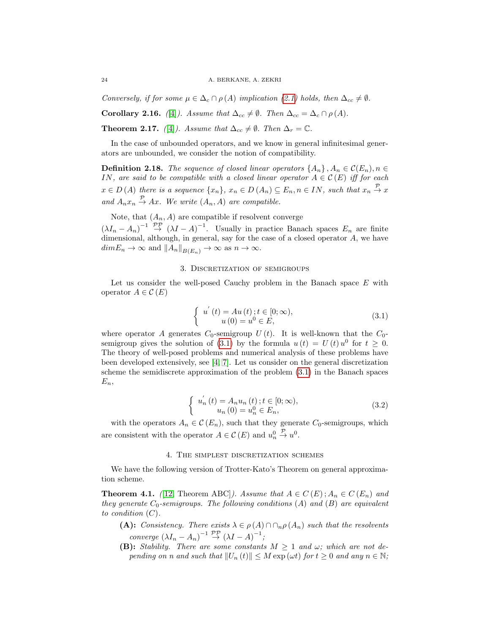Conversely, if for some  $\mu \in \Delta_c \cap \rho(A)$  implication [\(2.1\)](#page-4-1) holds, then  $\Delta_{cc} \neq \emptyset$ .

**Corollary 2.16.** ([\[4\]](#page-14-10)). Assume that  $\Delta_{cc} \neq \emptyset$ . Then  $\Delta_{cc} = \Delta_c \cap \rho(A)$ .

**Theorem 2.17.** ([\[4\]](#page-14-10)). Assume that  $\Delta_{cc} \neq \emptyset$ . Then  $\Delta_r = \mathbb{C}$ .

In the case of unbounded operators, and we know in general infinitesimal generators are unbounded, we consider the notion of compatibility.

**Definition 2.18.** The sequence of closed linear operators  $\{A_n\}$ ,  $A_n \in \mathcal{C}(E_n)$ ,  $n \in$ IN, are said to be compatible with a closed linear operator  $A \in \mathcal{C}(E)$  iff for each  $x \in D(A)$  there is a sequence  $\{x_n\}$ ,  $x_n \in D(A_n) \subseteq E_n$ ,  $n \in IN$ , such that  $x_n \stackrel{\mathcal{P}}{\rightarrow} x$ and  $A_n x_n \stackrel{\mathcal{P}}{\rightarrow} Ax$ . We write  $(A_n, A)$  are compatible.

Note, that  $(A_n, A)$  are compatible if resolvent converge

 $(\lambda I_n - A_n)^{-1} \stackrel{\mathcal{PP}}{\rightarrow} (\lambda I - A)^{-1}$ . Usually in practice Banach spaces  $E_n$  are finite dimensional, although, in general, say for the case of a closed operator A, we have  $dimE_n \to \infty$  and  $||A_n||_{B(E_n)} \to \infty$  as  $n \to \infty$ .

### 3. Discretization of semigroups

Let us consider the well-posed Cauchy problem in the Banach space  $E$  with operator  $A \in \mathcal{C}(E)$ 

<span id="page-5-0"></span>
$$
\begin{cases}\n u'(t) = Au(t); t \in [0; \infty), \\
u(0) = u^0 \in E,\n\end{cases}
$$
\n(3.1)

where operator A generates  $C_0$ -semigroup  $U(t)$ . It is well-known that the  $C_0$ -semigroup gives the solution of [\(3.1\)](#page-5-0) by the formula  $u(t) = U(t) u^0$  for  $t \ge 0$ . The theory of well-posed problems and numerical analysis of these problems have been developed extensively, see [\[4,](#page-14-10) [7\]](#page-14-11). Let us consider on the general discretization scheme the semidiscrete approximation of the problem [\(3.1\)](#page-5-0) in the Banach spaces  $E_n$ 

<span id="page-5-1"></span>
$$
\begin{cases}\n u'_n(t) = A_n u_n(t); t \in [0; \infty), \\
u_n(0) = u_n^0 \in E_n,\n\end{cases}
$$
\n(3.2)

with the operators  $A_n \in \mathcal{C}(E_n)$ , such that they generate  $C_0$ -semigroups, which are consistent with the operator  $A \in \mathcal{C}(E)$  and  $u_n^0$  $\stackrel{\mathcal{P}}{\rightarrow} u^0$ .

### 4. The simplest discretization schemes

We have the following version of Trotter-Kato's Theorem on general approximation scheme.

<span id="page-5-2"></span>**Theorem 4.1.** ([\[12,](#page-14-6) Theorem ABC]). Assume that  $A \in C(E)$ ;  $A_n \in C(E_n)$  and they generate  $C_0$ -semigroups. The following conditions  $(A)$  and  $(B)$  are equivalent to condition  $(C)$ .

- (A): Consistency. There exists  $\lambda \in \rho(A) \cap \cap_n \rho(A_n)$  such that the resolvents converge  $(\lambda I_n - A_n)^{-1} \overset{\mathcal{PP}}{\rightarrow} (\lambda I - A)^{-1}$ ;
- **(B):** Stability. There are some constants  $M \geq 1$  and  $\omega$ ; which are not depending on n and such that  $||U_n (t)|| \leq M \exp(\omega t)$  for  $t \geq 0$  and any  $n \in \mathbb{N}$ ;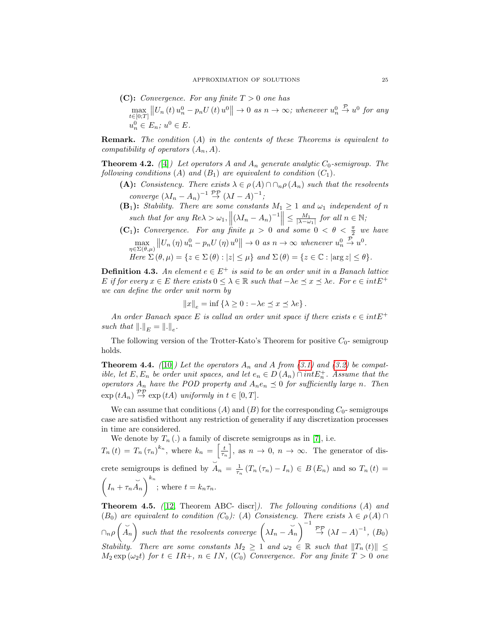(C): Convergence. For any finite 
$$
T > 0
$$
 one has  
\n
$$
\max_{t \in [0;T]} ||U_n(t) u_n^0 - p_n U(t) u^0|| \to 0 \text{ as } n \to \infty; \text{ whenever } u_n^0 \stackrel{\mathcal{P}}{\to} u^0 \text{ for any}
$$
\n
$$
u_n^0 \in E_n; u^0 \in E.
$$

**Remark.** The condition  $(A)$  in the contents of these Theorems is equivalent to compatibility of operators  $(A_n, A)$ .

<span id="page-6-0"></span>**Theorem 4.2.** ([\[4\]](#page-14-10)) Let operators A and  $A_n$  generate analytic  $C_0$ -semigroup. The following conditions (A) and  $(B_1)$  are equivalent to condition  $(C_1)$ .

- (A): Consistency. There exists  $\lambda \in \rho(A) \cap \cap_n \rho(A_n)$  such that the resolvents converge  $(\lambda I_n - A_n)^{-1} \stackrel{\mathcal{PP}}{\rightarrow} (\lambda I - A)^{-1}$ ;
- $(\mathbf{B}_1)$ : Stability. There are some constants  $M_1 \geq 1$  and  $\omega_1$  independent of n such that for any  $Re\lambda > \omega_1$ ,  $\left\| (\lambda I_n - A_n)^{-1} \right\| \le \frac{M_1}{|\lambda - \omega_1|}$  for all  $n \in \mathbb{N}$ ;
- (C<sub>1</sub>): Convergence. For any finite  $\mu > 0$  and some  $0 < \theta < \frac{\pi}{2}$  we have  $\max_{\eta \in \Sigma(\theta,\mu)} ||U_n(\eta)u_n^0 - p_n U(\eta)u^0|| \to 0 \text{ as } n \to \infty \text{ whenever } u_n^0$  $\stackrel{\mathcal{P}}{\rightarrow} u^0$ . Here  $\Sigma(\theta,\mu) = \{z \in \Sigma(\theta) : |z| \leq \mu\}$  and  $\Sigma(\theta) = \{z \in \mathbb{C} : |\arg z| \leq \theta\}.$

**Definition 4.3.** An element  $e \in E^+$  is said to be an order unit in a Banach lattice E if for every  $x \in E$  there exists  $0 \leq \lambda \in \mathbb{R}$  such that  $-\lambda e \preceq x \preceq \lambda e$ . For  $e \in intE^+$ we can define the order unit norm by

$$
||x||_e = \inf \{ \lambda \ge 0 : -\lambda e \le x \le \lambda e \}.
$$

An order Banach space E is callad an order unit space if there exists  $e \in intE^+$ such that  $\Vert . \Vert_E = \Vert . \Vert_e$ .

The following version of the Trotter-Kato's Theorem for positive  $C_0$ - semigroup holds.

**Theorem 4.4.** ([\[10\]](#page-14-8)) Let the operators  $A_n$  and A from [\(3.1\)](#page-5-0) and [\(3.2\)](#page-5-1) be compatible, let E,  $E_n$  be order unit spaces, and let  $e_n \in D(A_n) \cap intE_n^+$ . Assume that the operators  $A_n$  have the POD property and  $A_ne_n \preceq 0$  for sufficiently large n. Then  $\exp(tA_n) \stackrel{\mathcal{PP}}{\rightarrow} \exp(tA)$  uniformly in  $t \in [0, T]$ .

We can assume that conditions  $(A)$  and  $(B)$  for the corresponding  $C_0$ - semigroups case are satisfied without any restriction of generality if any discretization processes in time are considered.

We denote by  $T_n(.)$  a family of discrete semigroups as in [\[7\]](#page-14-11), i.e.  $T_n(t) = T_n (\tau_n)^{k_n}$ , where  $k_n = \left[\frac{t}{\tau_n}\right]$ , as  $n \to 0$ ,  $n \to \infty$ . The generator of discrete semigroups is defined by  $A_n = \frac{1}{\tau_n} (T_n(\tau_n) - I_n) \in B(E_n)$  and so  $T_n(t) =$  $\overline{\phantom{0}}$  $\Big(I_n + \tau_n$  $\cup$  $\left(\overrightarrow{A}_n\right)^{k_n}$ ; where  $t = k_n \tau_n$ .

**Theorem 4.5.** (12, Theorem ABC- discr]). The following conditions  $(A)$  and  $(B_0)$  are equivalent to condition  $(C_0)$ :  $(A)$  Consistency. There exists  $\lambda \in \rho(A) \cap$  $\cap_n \rho\left(\breve{\check{A}}_n\right)$  such that the resolvents converge  $\left(\lambda I_n - \check{h}\right)$  $\overline{\phantom{0}}$  $\widetilde{A}_n$   $\Big)^{-1} \stackrel{\mathcal{PP}}{\rightarrow} (\lambda I - A)^{-1}, (B_0)$ Stability. There are some constants  $M_2 \geq 1$  and  $\omega_2 \in \mathbb{R}$  such that  $||T_n(t)|| \leq$  $M_2 \exp{(\omega_2 t)}$  for  $t \in IR_+, n \in IN, (C_0)$  Convergence. For any finite  $T > 0$  one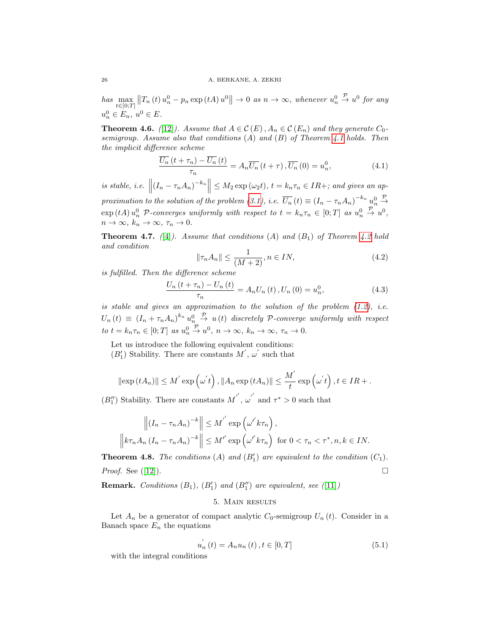has  $\max_{t \in [0,T]} ||T_n(t)u_n^0 - p_n \exp(tA)u^0|| \to 0$  as  $n \to \infty$ , whenever  $u_n^0$  $\stackrel{\mathcal{P}}{\rightarrow} u^0$  for any  $u_n^0 \in E_n$ ,  $u^0 \in E$ .

<span id="page-7-1"></span>**Theorem 4.6.** ([\[12\]](#page-14-6)). Assume that  $A \in \mathcal{C}(E)$ ,  $A_n \in \mathcal{C}(E_n)$  and they generate  $C_0$ semigroup. Assume also that conditions  $(A)$  and  $(B)$  of Theorem [4.1](#page-5-2) holds. Then the implicit difference scheme

<span id="page-7-3"></span>
$$
\frac{\overline{U_n}\left(t+\tau_n\right)-\overline{U_n}\left(t\right)}{\tau_n} = A_n \overline{U_n}\left(t+\tau\right), \overline{U_n}\left(0\right) = u_n^0,\tag{4.1}
$$

is stable, i.e.  $\|(I_n - \tau_n A_n)^{-k_n}\| \le M_2 \exp{(\omega_2 t)}, t = k_n \tau_n \in IR +$ ; and gives an ap-proximation to the solution of the problem [\(3.1\)](#page-5-0), i.e.  $\overline{U_n}(t) \equiv (I_n - \tau_n A_n)^{-k_n} u_n^0$  $\stackrel{\mathcal{P}}{\rightarrow}$  $\exp{(tA)}u_n^0$  P-converges uniformly with respect to  $t = k_n \tau_n \in [0;T]$  as  $u_n^0$  $\stackrel{\mathcal{P}}{\rightarrow} u^0,$  $n \to \infty$ ,  $k_n \to \infty$ ,  $\tau_n \to 0$ .

<span id="page-7-2"></span>**Theorem 4.7.** (4). Assume that conditions (A) and (B<sub>1</sub>) of Theorem [4.2](#page-6-0) hold and condition

$$
\|\tau_n A_n\| \le \frac{1}{(M+2)}, n \in IN,
$$
\n
$$
(4.2)
$$

is fulfilled. Then the difference scheme

$$
\frac{U_n(t+\tau_n) - U_n(t)}{\tau_n} = A_n U_n(t), U_n(0) = u_n^0,
$$
\n(4.3)

is stable and gives an approximation to the solution of the problem  $(1.2)$ , i.e.  $U_n(t) \equiv (I_n + \tau_n A_n)^{k_n} u_n^0$  $\stackrel{\mathcal{P}}{\rightarrow} u(t)$  discretely P-converge uniformly with respect to  $t = k_n \tau_n \in [0; T]$  as  $u_n^0$  $\stackrel{\mathcal{P}}{\rightarrow} u^0, n \rightarrow \infty, k_n \rightarrow \infty, \tau_n \rightarrow 0.$ 

Let us introduce the following equivalent conditions:

 $(B_1')$  Stability. There are constants  $M^{'},\,\omega^{'}$  such that

$$
\|\exp(tA_n)\| \le M^{'}\exp(\omega^{'}t), \|A_n\exp(tA_n)\| \le \frac{M^{'}}{t}\exp(\omega^{'}t), t \in IR + .
$$

 $(B_{1}^{\prime\prime})$  Stability. There are constants  ${M}^{'} ,\,{\omega}^{'}$  and  $\tau^*>0$  such that

$$
\left\| (I_n - \tau_n A_n)^{-k} \right\| \le M^{n'} \exp\left(\omega' k \tau_n\right),
$$
  

$$
\left\| k \tau_n A_n (I_n - \tau_n A_n)^{-k} \right\| \le M^{n'} \exp\left(\omega' k \tau_n\right) \text{ for } 0 < \tau_n < \tau^*, n, k \in IN.
$$

**Theorem 4.8.** The conditions  $(A)$  and  $(B'_1)$  are equivalent to the condition  $(C_1)$ . *Proof.* See ([\[12\]](#page-14-6)).

**Remark.** Conditions  $(B_1)$ ,  $(B'_1)$  and  $(B''_1)$  are equivalent, see  $(11]$ )

## 5. Main results

Let  $A_n$  be a generator of compact analytic  $C_0$ -semigroup  $U_n(t)$ . Consider in a Banach space  $E_n$  the equations

<span id="page-7-0"></span>
$$
u_{n}^{'}(t) = A_{n}u_{n}(t), t \in [0, T]
$$
\n(5.1)

with the integral conditions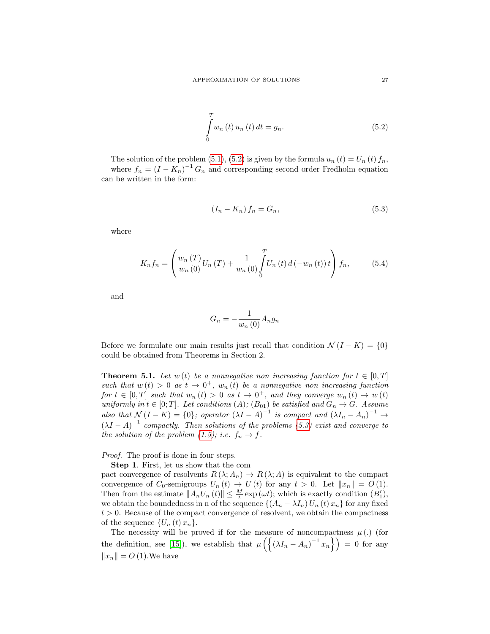<span id="page-8-1"></span>
$$
\int_{0}^{T} w_n(t) u_n(t) dt = g_n.
$$
\n(5.2)

The solution of the problem [\(5.1\)](#page-7-0), [\(5.2\)](#page-8-1) is given by the formula  $u_n(t) = U_n(t) f_n$ , where  $f_n = (I - K_n)^{-1} G_n$  and corresponding second order Fredholm equation can be written in the form:

<span id="page-8-2"></span>
$$
(I_n - K_n) f_n = G_n,\t\t(5.3)
$$

where

<span id="page-8-3"></span>
$$
K_n f_n = \left(\frac{w_n(T)}{w_n(0)} U_n(T) + \frac{1}{w_n(0)} \int_0^T U_n(t) d(-w_n(t)) t\right) f_n,
$$
 (5.4)

and

$$
G_n = -\frac{1}{w_n(0)} A_n g_n
$$

Before we formulate our main results just recall that condition  $\mathcal{N}(I - K) = \{0\}$ could be obtained from Theorems in Section 2.

<span id="page-8-0"></span>**Theorem 5.1.** Let  $w(t)$  be a nonnegative non increasing function for  $t \in [0, T]$ such that  $w(t) > 0$  as  $t \to 0^+$ ,  $w_n(t)$  be a nonnegative non increasing function for  $t \in [0,T]$  such that  $w_n(t) > 0$  as  $t \to 0^+$ , and they converge  $w_n(t) \to w(t)$ uniformly in  $t \in [0; T]$ . Let conditions  $(A)$ ;  $(B_{01})$  be satisfied and  $G_n \to G$ . Assume also that  $\mathcal{N}(I - K) = \{0\}$ ; operator  $(\lambda I - A)^{-1}$  is compact and  $(\lambda I_n - A_n)^{-1} \rightarrow$  $(\lambda I - A)^{-1}$  compactly. Then solutions of the problems [\(5.3\)](#page-8-2) exist and converge to the solution of the problem  $(1.5)$ ; i.e.  $f_n \to f$ .

### Proof. The proof is done in four steps.

Step 1. First, let us show that the com

pact convergence of resolvents  $R(\lambda; A_n) \to R(\lambda; A)$  is equivalent to the compact convergence of  $C_0$ -semigroups  $U_n(t) \to U(t)$  for any  $t > 0$ . Let  $||x_n|| = O(1)$ . Then from the estimate  $||A_nU_n(t)|| \leq \frac{M}{t} \exp(\omega t)$ ; which is exactly condition  $(B'_1)$ , we obtain the boundedness in n of the sequence  $\{(A_n - \lambda I_n) U_n(t) x_n\}$  for any fixed  $t > 0$ . Because of the compact convergence of resolvent, we obtain the compactness of the sequence  $\{U_n(t)x_n\}.$ 

The necessity will be proved if for the measure of noncompactness  $\mu$  (.) (for the definition, see [\[15\]](#page-14-5)), we establish that  $\mu\left(\left\{(\lambda I_n - A_n)^{-1} x_n\right\}\right) = 0$  for any  $||x_n|| = O(1)$ . We have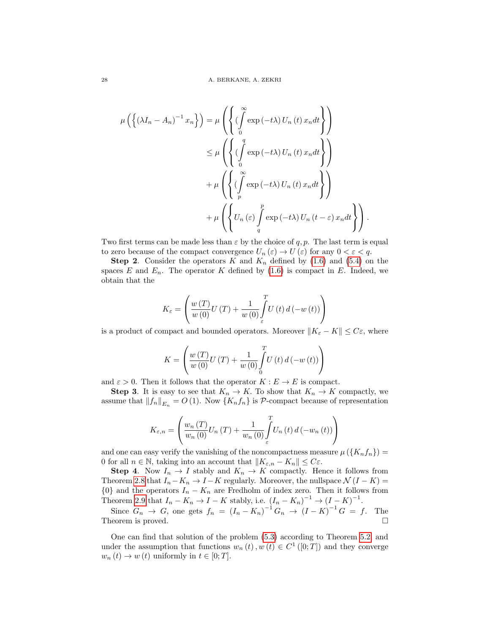$$
\mu\left(\left\{(\lambda I_n - A_n)^{-1} x_n\right\}\right) = \mu\left(\left\{(\int_0^\infty \exp(-t\lambda) U_n(t) x_n dt\right\}\right)
$$

$$
\leq \mu\left(\left\{(\int_0^q \exp(-t\lambda) U_n(t) x_n dt\right\}\right)
$$

$$
+ \mu\left(\left\{(\int_p^\infty \exp(-t\lambda) U_n(t) x_n dt\right\}\right)
$$

$$
+ \mu\left(\left\{U_n(\varepsilon) \int_q^p \exp(-t\lambda) U_n(t-\varepsilon) x_n dt\right\}\right).
$$

Two first terms can be made less than  $\varepsilon$  by the choice of q, p. The last term is equal to zero because of the compact convergence  $U_n(\varepsilon) \to U(\varepsilon)$  for any  $0 < \varepsilon < q$ .

**Step 2.** Consider the operators K and  $K_n$  defined by [\(1.6\)](#page-1-4) and [\(5.4\)](#page-8-3) on the spaces E and  $E_n$ . The operator K defined by  $(1.6)$  is compact in E. Indeed, we obtain that the

$$
K_{\varepsilon} = \left( \frac{w(T)}{w(0)} U(T) + \frac{1}{w(0)} \int_{\varepsilon}^{T} U(t) d(-w(t)) \right)
$$

is a product of compact and bounded operators. Moreover  $||K_{\varepsilon} - K|| \leq C_{\varepsilon}$ , where

$$
K = \left(\frac{w(T)}{w(0)}U(T) + \frac{1}{w(0)}\int_{0}^{T}U(t) d(-w(t))\right)
$$

and  $\varepsilon > 0$ . Then it follows that the operator  $K : E \to E$  is compact.

**Step 3.** It is easy to see that  $K_n \to K$ . To show that  $K_n \to K$  compactly, we assume that  $||f_n||_{E_n} = O(1)$ . Now  $\{K_nf_n\}$  is P-compact because of representation

$$
K_{\varepsilon,n} = \left( \frac{w_n(T)}{w_n(0)} U_n(T) + \frac{1}{w_n(0)} \int_{\varepsilon}^T U_n(t) d(-w_n(t)) \right)
$$

and one can easy verify the vanishing of the noncompactness measure  $\mu\left(\left\{K_nf_n\right\}\right)$  = 0 for all  $n \in \mathbb{N}$ , taking into an account that  $||K_{\varepsilon,n} - K_n|| \leq C\varepsilon$ .

**Step 4.** Now  $I_n \to I$  stably and  $K_n \to K$  compactly. Hence it follows from Theorem [2.8](#page-4-2) that  $I_n - K_n \to I - K$  regularly. Moreover, the nullspace  $\mathcal{N}(I - K) =$  ${0}$  and the operators  $I_n - K_n$  are Fredholm of index zero. Then it follows from Theorem [2.9](#page-4-0) that  $I_n - K_n \to I - K$  stably, i.e.  $(I_n - K_n)^{-1} \to (I - K)^{-1}$ .

Since  $G_n \to G$ , one gets  $f_n = (I_n - K_n)^{-1} G_n \to (I - K)^{-1} G = f$ . The Theorem is proved.  $\square$ 

One can find that solution of the problem [\(5.3\)](#page-8-2) according to Theorem [5.2,](#page-10-0) and under the assumption that functions  $w_n(t), w(t) \in C^1([0;T])$  and they converge  $w_n(t) \to w(t)$  uniformly in  $t \in [0; T]$ .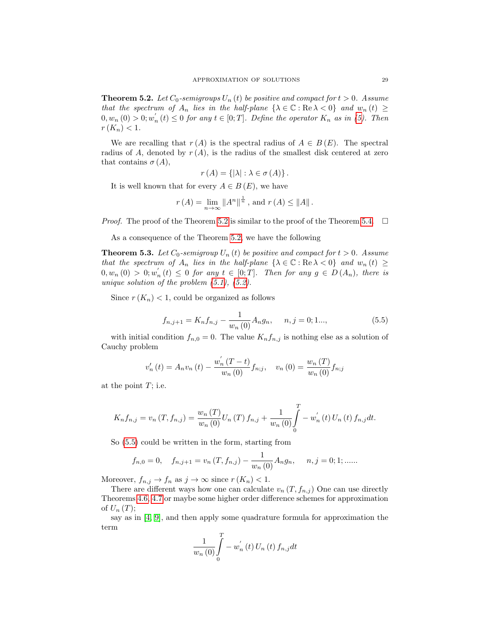<span id="page-10-0"></span>**Theorem 5.2.** Let  $C_0$ -semigroups  $U_n(t)$  be positive and compact for  $t > 0$ . Assume that the spectrum of  $A_n$  lies in the half-plane  $\{\lambda \in \mathbb{C} : \text{Re }\lambda < 0\}$  and  $w_n(t) \geq$  $0, w_n(0) > 0; w'_n(t) \leq 0$  for any  $t \in [0;T]$ . Define the operator  $K_n$  as in [\(5\)](#page-11-0). Then  $r(K_n) < 1.$ 

We are recalling that  $r(A)$  is the spectral radius of  $A \in B(E)$ . The spectral radius of A, denoted by  $r(A)$ , is the radius of the smallest disk centered at zero that contains  $\sigma(A)$ ,

$$
r(A) = \{ |\lambda| : \lambda \in \sigma(A) \}.
$$

It is well known that for every  $A \in B(E)$ , we have

$$
r(A) = \lim_{n \to \infty} ||A^n||^{\frac{1}{n}}
$$
, and  $r(A) \le ||A||$ .

*Proof.* The proof of the Theorem [5.2](#page-10-0) is similar to the proof of the Theorem [5.4.](#page-11-1)  $\Box$ 

As a consequence of the Theorem [5.2,](#page-10-0) we have the following

**Theorem 5.3.** Let  $C_0$ -semigroup  $U_n(t)$  be positive and compact for  $t > 0$ . Assume that the spectrum of  $A_n$  lies in the half-plane  $\{\lambda \in \mathbb{C} : \text{Re }\lambda < 0\}$  and  $w_n(t) \geq$  $0, w_n(0) > 0; w'_n(t) \leq 0$  for any  $t \in [0, T]$ . Then for any  $g \in D(A_n)$ , there is unique solution of the problem  $(5.1)$ ,  $(5.2)$ .

Since  $r(K_n)$  < 1, could be organized as follows

<span id="page-10-1"></span>
$$
f_{n,j+1} = K_n f_{n,j} - \frac{1}{w_n(0)} A_n g_n, \quad n, j = 0; 1..., \tag{5.5}
$$

with initial condition  $f_{n,0} = 0$ . The value  $K_n f_{n,j}$  is nothing else as a solution of Cauchy problem

$$
v'_{n}(t) = A_{n}v_{n}(t) - \frac{w'_{n}(T-t)}{w_{n}(0)}f_{n;j}, \quad v_{n}(0) = \frac{w_{n}(T)}{w_{n}(0)}f_{n;j}
$$

at the point  $T$ ; i.e.

$$
K_n f_{n,j} = v_n(T, f_{n,j}) = \frac{w_n(T)}{w_n(0)} U_n(T) f_{n,j} + \frac{1}{w_n(0)} \int_0^T -w'_n(t) U_n(t) f_{n,j} dt.
$$

So [\(5.5\)](#page-10-1) could be written in the form, starting from

$$
f_{n,0} = 0
$$
,  $f_{n,j+1} = v_n(T, f_{n,j}) - \frac{1}{w_n(0)} A_n g_n$ ,  $n, j = 0; 1; \dots$ 

Moreover,  $f_{n,j} \to f_n$  as  $j \to \infty$  since  $r(K_n) < 1$ .

There are different ways how one can calculate  $v_n(T, f_{n,j})$  One can use directly Theorems [4.6,](#page-7-1) [4.7](#page-7-2) or maybe some higher order difference schemes for approximation of  $U_n(T)$ ;

say as in [\[4,](#page-14-10) [9\]](#page-14-13), and then apply some quadrature formula for approximation the term

$$
\frac{1}{w_n\left(0\right)}\int\limits_{0}^{T}-w_n^{'}\left(t\right)U_n\left(t\right)f_{n,j}dt
$$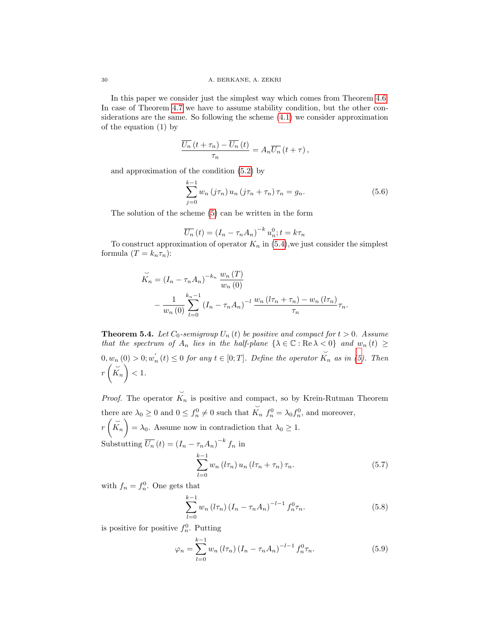In this paper we consider just the simplest way which comes from Theorem [4.6.](#page-7-1) In case of Theorem [4.7](#page-7-2) we have to assume stability condition, but the other considerations are the same. So following the scheme [\(4.1\)](#page-7-3) we consider approximation of the equation (1) by

$$
\frac{\overline{U_n}\left(t+\tau_n\right)-\overline{U_n}\left(t\right)}{\tau_n}=A_n\overline{U_n}\left(t+\tau\right),\,
$$

and approximation of the condition [\(5.2\)](#page-8-1) by

<span id="page-11-0"></span>
$$
\sum_{j=0}^{k-1} w_n (j\tau_n) u_n (j\tau_n + \tau_n) \tau_n = g_n.
$$
 (5.6)

The solution of the scheme [\(5\)](#page-10-1) can be written in the form

$$
\overline{U_n}(t) = (I_n - \tau_n A_n)^{-k} u_n^0; t = k\tau_n
$$

To construct approximation of operator  $K_n$  in [\(5.4\)](#page-8-3), we just consider the simplest formula  $(T = k_n \tau_n)$ :

$$
\widetilde{K}_n = (I_n - \tau_n A_n)^{-k_n} \frac{w_n(T)}{w_n(0)} - \frac{1}{w_n(0)} \sum_{l=0}^{k_n-1} (I_n - \tau_n A_n)^{-l} \frac{w_n(l\tau_n + \tau_n) - w_n(l\tau_n)}{\tau_n} \tau_n.
$$

<span id="page-11-1"></span>**Theorem 5.4.** Let  $C_0$ -semigroup  $U_n(t)$  be positive and compact for  $t > 0$ . Assume that the spectrum of  $A_n$  lies in the half-plane  $\{\lambda \in \mathbb{C} : \text{Re}\,\lambda < 0\}$  and  $w_n(t) \geq$  $0, w_n(0) > 0; w'_n(t) \leq 0$  for any  $t \in [0, T]$ . Define the operator  $\overline{\phantom{0}}$  $K_n$  as in  $(5)$ . Then  $r\left(\overset{\smile}{K_n}\right) < 1.$ 

Proof. The operator  $\overline{\phantom{0}}$  $K_n$  is positive and compact, so by Krein-Rutman Theorem there are  $\lambda_0 \geq 0$  and  $0 \leq f_n^0 \neq 0$  such that  $\overline{\phantom{0}}$  $K_n f_n^0 = \lambda_0 f_n^0$ , and moreover,

 $r\left(\overrightarrow{K}_n\right) = \lambda_0$ . Assume now in contradiction that  $\lambda_0 \geq 1$ . Substutting  $\overline{U_n}(t) = (I_n - \tau_n A_n)^{-k} f_n$  in

$$
\sum_{l=0}^{k-1} w_n \left( l \tau_n \right) u_n \left( l \tau_n + \tau_n \right) \tau_n. \tag{5.7}
$$

with  $f_n = f_n^0$ . One gets that

$$
\sum_{l=0}^{k-1} w_n \left( l \tau_n \right) \left( I_n - \tau_n A_n \right)^{-l-1} f_n^0 \tau_n. \tag{5.8}
$$

is positive for positive  $f_n^0$ . Putting

<span id="page-11-2"></span>
$$
\varphi_n = \sum_{l=0}^{k-1} w_n \left( l \tau_n \right) \left( I_n - \tau_n A_n \right)^{-l-1} f_n^0 \tau_n. \tag{5.9}
$$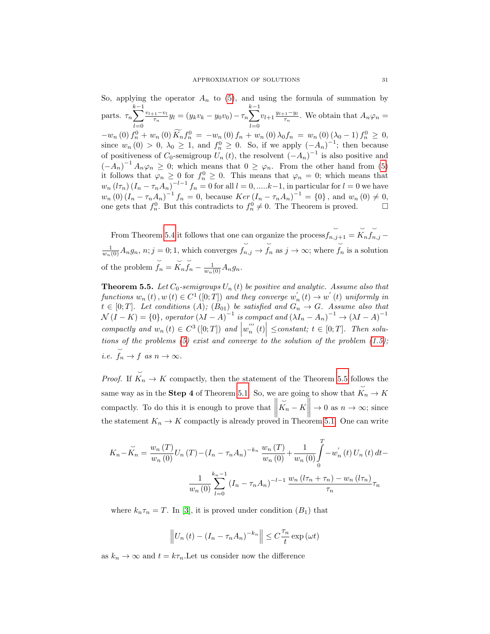So, applying the operator  $A_n$  to [\(5\)](#page-11-2), and using the formula of summation by parts.  $\tau_n$  $\sum_{l+1}^{k-1} \frac{v_{l+1}-v_l}{v_l}$  $l=0$   $l=0$  $\frac{y_1 - v_l}{\tau_n} y_l = (y_k v_k - y_0 v_0) - \tau_n$  $\sum_{l+1}^{k-1} v_{l+1} \frac{y_{l+1}-y_l}{\tau_n}$  $\frac{1-3n}{\tau_n}$ . We obtain that  $A_n\varphi_n =$  $-w_n(0) f_n^0 + w_n(0) K_n f_n^0 = -w_n(0) f_n + w_n(0) \lambda_0 f_n = w_n(0) (\lambda_0 - 1) f_n^0 \geq 0,$ since  $w_n(0) > 0$ ,  $\lambda_0 \geq 1$ , and  $f_n^0 \geq 0$ . So, if we apply  $(-A_n)^{-1}$ ; then because of positiveness of  $C_0$ -semigroup  $U_n(t)$ , the resolvent  $(-A_n)^{-1}$  is also positive and  $(-A_n)^{-1}A_n\varphi_n \geq 0$ ; which means that  $0 \geq \varphi_n$ . From the other hand from [\(5\)](#page-11-2) it follows that  $\varphi_n \geq 0$  for  $f_n^0 \geq 0$ . This means that  $\varphi_n = 0$ ; which means that  $w_n(l\tau_n)(I_n - \tau_n A_n)^{-l-1} f_n = 0$  for all  $l = 0, \dots, k-1$ , in particular for  $l = 0$  we have  $w_n(0) (I_n - \tau_n A_n)^{-1} f_n = 0$ , because  $Ker (I_n - \tau_n A_n)^{-1} = \{0\}$ , and  $w_n(0) \neq 0$ , one gets that  $f_n^0$ . But this contradicts to  $f_n^0 \neq 0$ . The Theorem is proved.

From Theorem [5.4](#page-11-1) it follows that one can organize the process  $\cup$  $f_{n,j+1} =$  $\overline{\phantom{0}}$  $K_n$  $\overline{\phantom{0}}$  $f_{n,j}$  –  $\frac{1}{w_n(0)}A_ng_n, n; j = 0; 1$ , which converges  $\overline{\phantom{0}}$  $f_{n,j}\to$  $\overline{\phantom{0}}$  $f_n$  as  $j \to \infty$ ; where  $\check{~}$  $f_n$  is a solution of the problem  $\overline{\phantom{0}}$  $f_n =$  $\overline{\phantom{0}}$  $K_n$  $\overline{\phantom{0}}$  $f_n - \frac{1}{w_n(0)} A_n g_n.$ 

<span id="page-12-0"></span>**Theorem 5.5.** Let  $C_0$ -semigroups  $U_n(t)$  be positive and analytic. Assume also that functions  $w_n(t)$ ,  $w(t) \in C^1([0; T])$  and they converge  $w'_n(t) \to w'(t)$  uniformly in  $t \in [0;T]$ . Let conditions  $(A)$ ;  $(B_{01})$  be satisfied and  $G_n \rightarrow G$ . Assume also that  $\mathcal{N}(I - K) = \{0\},\ operator\left(\lambda I - A\right)^{-1}\ is\ compact\ and\ \left(\lambda I_n - A_n\right)^{-1} \to \left(\lambda I - A\right)^{-1}$ compactly and  $w_n(t) \in C^3([0; T])$  and  $|w_n^{'''}(t)| \leq constant; t \in [0; T]$ . Then solutions of the problems  $(5)$  exist and converge to the solution of the problem  $(1.5)$ ; i.e.  $\overline{\phantom{0}}$  $f_n \to f$  as  $n \to \infty$ .

Proof. If  $K_n \to K$  compactly, then the statement of the Theorem [5.5](#page-12-0) follows the same way as in the **Step 4** of Theorem [5.1.](#page-8-0) So, we are going to show that  $\overline{\phantom{0}}$  $K_n \to K$ compactly. To do this it is enough to prove that  $\parallel$ the statement  $K_n \to K$  compactly is already proved in Theorem [5.1.](#page-8-0) One can write  $\overline{\phantom{0}}$  $\widetilde{K}_n - K \Big\| \to 0 \text{ as } n \to \infty; \text{ since }$ 

$$
K_n - \breve{K}_n = \frac{w_n(T)}{w_n(0)} U_n(T) - (I_n - \tau_n A_n)^{-k_n} \frac{w_n(T)}{w_n(0)} + \frac{1}{w_n(0)} \int_0^T -w'_n(t) U_n(t) dt -
$$

$$
\frac{1}{w_n(0)} \sum_{l=0}^{k_n-1} (I_n - \tau_n A_n)^{-l-1} \frac{w_n (l\tau_n + \tau_n) - w_n (l\tau_n)}{\tau_n} \tau_n
$$

where  $k_n \tau_n = T$ . In [\[3\]](#page-14-14), it is proved under condition  $(B_1)$  that

$$
\left\| U_n(t) - \left(I_n - \tau_n A_n\right)^{-k_n} \right\| \leq C \frac{\tau_n}{t} \exp\left(\omega t\right)
$$

as  $k_n \to \infty$  and  $t = k\tau_n$ . Let us consider now the difference

 $\overline{\phantom{0}}$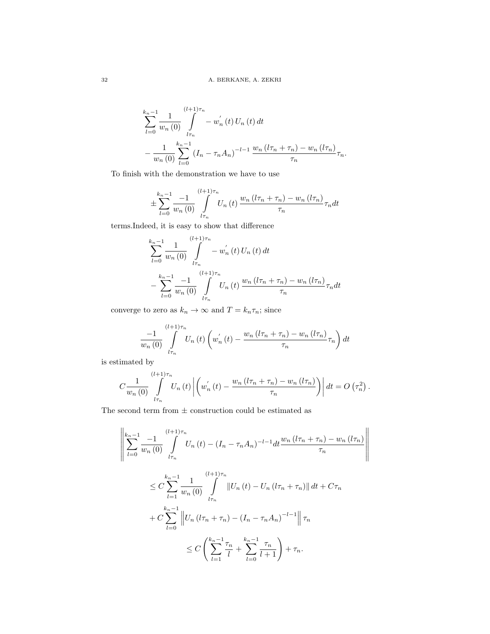$$
\sum_{l=0}^{k_n-1} \frac{1}{w_n(0)} \int_{l\tau_n}^{(l+1)\tau_n} -w'_n(t) U_n(t) dt
$$
  

$$
-\frac{1}{w_n(0)} \sum_{l=0}^{k_n-1} (I_n - \tau_n A_n)^{-l-1} \frac{w_n (l\tau_n + \tau_n) - w_n (l\tau_n)}{\tau_n} \tau_n.
$$

To finish with the demonstration we have to use

$$
\pm \sum_{l=0}^{k_n-1} \frac{-1}{w_n(0)} \int_{l\tau_n}^{(l+1)\tau_n} U_n(t) \frac{w_n(l\tau_n + \tau_n) - w_n(l\tau_n)}{\tau_n} \tau_n dt
$$

terms.Indeed, it is easy to show that difference

$$
\sum_{l=0}^{k_n-1} \frac{1}{w_n(0)} \int_{l\tau_n}^{(l+1)\tau_n} -w'_n(t) U_n(t) dt
$$
  

$$
- \sum_{l=0}^{k_n-1} \frac{-1}{w_n(0)} \int_{l\tau_n}^{(l+1)\tau_n} U_n(t) \frac{w_n (l\tau_n + \tau_n) - w_n (l\tau_n)}{\tau_n} \tau_n dt
$$

converge to zero as  $k_n\to\infty$  and  $T=k_n\tau_n;$  since

$$
\frac{-1}{w_n(0)}\int\limits_{l\tau_n}^{(l+1)\tau_n} U_n(t) \left(w'_n(t) - \frac{w_n(l\tau_n + \tau_n) - w_n(l\tau_n)}{\tau_n} \tau_n\right) dt
$$

is estimated by

$$
C\frac{1}{w_n(0)}\int\limits_{l\tau_n}^{(l+1)\tau_n} U_n(t) \left| \left(w_n^{'}\left(t\right)-\frac{w_n\left(l\tau_n+\tau_n\right)-w_n\left(l\tau_n\right)}{\tau_n}\right)\right| dt = O\left(\tau_n^2\right).
$$

The second term from  $\pm$  construction could be estimated as

$$
\left\| \sum_{l=0}^{k_{n}-1} \frac{-1}{w_{n}(0)} \int_{l\tau_{n}}^{(l+1)\tau_{n}} U_{n}(t) - (I_{n} - \tau_{n}A_{n})^{-l-1} dt \frac{w_{n}(l\tau_{n} + \tau_{n}) - w_{n}(l\tau_{n})}{\tau_{n}} \right\|
$$
  

$$
\leq C \sum_{l=1}^{k_{n}-1} \frac{1}{w_{n}(0)} \int_{l\tau_{n}}^{(l+1)\tau_{n}} ||U_{n}(t) - U_{n}(l\tau_{n} + \tau_{n})|| dt + C\tau_{n}
$$
  

$$
+ C \sum_{l=0}^{k_{n}-1} ||U_{n}(l\tau_{n} + \tau_{n}) - (I_{n} - \tau_{n}A_{n})^{-l-1}|| \tau_{n}
$$
  

$$
\leq C \left( \sum_{l=1}^{k_{n}-1} \frac{\tau_{n}}{l} + \sum_{l=0}^{k_{n}-1} \frac{\tau_{n}}{l+1} \right) + \tau_{n}.
$$